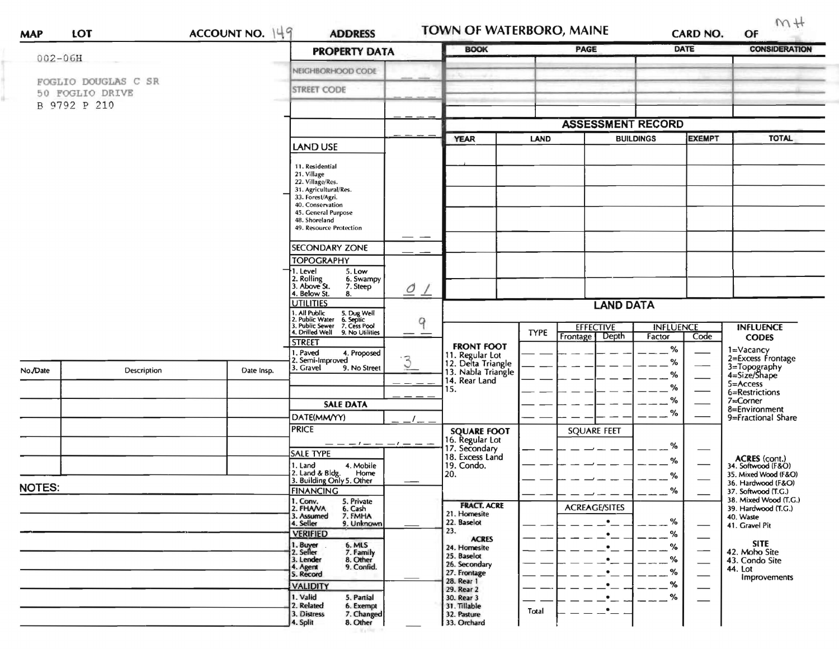|                                                        |                    |            | <b>PROPERTY DATA</b>                                                                                                                                                                   |                               | <b>BOOK</b>                                               |             | PAGE                                 |             | <b>DATE</b> | <b>CONSIDERATION</b>                                               |
|--------------------------------------------------------|--------------------|------------|----------------------------------------------------------------------------------------------------------------------------------------------------------------------------------------|-------------------------------|-----------------------------------------------------------|-------------|--------------------------------------|-------------|-------------|--------------------------------------------------------------------|
| $002 - 06H$                                            |                    |            |                                                                                                                                                                                        |                               |                                                           |             |                                      |             |             |                                                                    |
| FOGLIO DOUGLAS C SR<br>50 FOGLIO DRIVE<br>B 9792 P 210 |                    |            | NEIGHBORHOOD CODE                                                                                                                                                                      |                               |                                                           |             |                                      |             |             |                                                                    |
|                                                        |                    |            | <b>STREET CODE</b>                                                                                                                                                                     |                               |                                                           |             |                                      |             |             |                                                                    |
|                                                        |                    |            |                                                                                                                                                                                        | <b>ASSESSMENT RECORD</b>      |                                                           |             |                                      |             |             |                                                                    |
|                                                        |                    |            |                                                                                                                                                                                        |                               | <b>YEAR</b>                                               |             | <b>BUILDINGS</b><br><b>EXEMPT</b>    |             |             |                                                                    |
|                                                        |                    |            | <b>LAND USE</b>                                                                                                                                                                        |                               |                                                           | <b>LAND</b> |                                      |             |             | <b>TOTAL</b>                                                       |
|                                                        |                    |            | 11. Residential<br>21. Village<br>22. Village/Res.<br>31. Agricultural/Res.<br>33. Forest/Agri.<br>40. Conservation<br>45. General Purpose<br>48. Shoreland<br>49. Resource Protection |                               |                                                           |             |                                      |             |             |                                                                    |
|                                                        |                    |            | <b>SECONDARY ZONE</b>                                                                                                                                                                  |                               |                                                           |             |                                      |             |             |                                                                    |
|                                                        |                    |            | <b>TOPOGRAPHY</b>                                                                                                                                                                      |                               |                                                           |             |                                      |             |             |                                                                    |
|                                                        |                    |            | 1. Level<br>5. Low<br>2. Rolling<br>3. Above St.<br>6. Swampy<br>7. Steep                                                                                                              | $\mathcal{O}$                 |                                                           |             |                                      |             |             |                                                                    |
|                                                        |                    |            | 4. Below St.<br>8.<br><b>UTILITIES</b>                                                                                                                                                 | $\overline{\phantom{a}}$<br>9 | <b>LAND DATA</b>                                          |             |                                      |             |             |                                                                    |
|                                                        |                    |            | 1. All Public 5. Dug Well<br>2. Public Water 6. Septic<br>3. Public Sewer 7. Cess Pool<br>4. Drilled Well 9. No Utilities                                                              |                               |                                                           | TYPE        | <b>EFFECTIVE</b><br><b>INFLUENCE</b> |             |             | <b>INFLUENCE</b>                                                   |
|                                                        |                    |            | <b>STREET</b>                                                                                                                                                                          |                               | <b>FRONT FOOT</b>                                         |             | Depth<br>Frontage                    | Factor<br>% | Code        | <b>CODES</b>                                                       |
|                                                        |                    |            | . Paved<br>4. Proposed<br>2. Semi-Improved                                                                                                                                             | $\overline{3}$                | 11. Regular Lot                                           |             |                                      | %           |             | 1=Vacancy<br>2=Excess Frontage                                     |
| No./Date                                               | <b>Description</b> | Date Insp. | 3. Gravel<br>9. No Street                                                                                                                                                              |                               | 12. Delta Triangle<br>13. Nabla Triangle<br>14. Rear Land |             |                                      | %           |             | 3=Topography<br>4=Size/Shape                                       |
|                                                        |                    |            |                                                                                                                                                                                        |                               | 15.                                                       |             |                                      | %           |             | 5=Access<br>6=Restrictions                                         |
|                                                        |                    |            | <b>SALE DATA</b>                                                                                                                                                                       |                               |                                                           |             |                                      | $\%$<br>%   |             | $7 =$ Corner<br>8=Environment                                      |
|                                                        |                    |            | DATE(MM/YY)<br><b>PRICE</b>                                                                                                                                                            |                               |                                                           |             |                                      |             |             | 9=Fractional Share                                                 |
|                                                        |                    |            | — — — — — —                                                                                                                                                                            |                               | <b>SQUARE FOOT</b><br>16. Regular Lot<br>17. Secondary    |             | <b>SQUARE FEET</b>                   |             |             |                                                                    |
|                                                        |                    |            | <b>SALE TYPE</b>                                                                                                                                                                       |                               | 18. Excess Land                                           |             |                                      | %           |             |                                                                    |
|                                                        |                    |            | 1. Land<br>4. Mobile<br>Home                                                                                                                                                           |                               | 19. Condo.<br>20.                                         |             |                                      | %           |             | ACRES (cont.)<br>34. Softwood (F&O)<br>35. Mixed Wood (F&O)        |
| <b>NOTES:</b>                                          |                    |            | 2. Land & Bldg. Home<br>3. Building Only 5. Other                                                                                                                                      |                               |                                                           |             |                                      | %           |             | 36. Hardwood (F&O)<br>37. Softwood (T.G.)<br>38. Mixed Wood (T.G.) |
|                                                        |                    |            | <b>FINANCING</b><br>1. Conv.<br>5. Private                                                                                                                                             |                               |                                                           |             |                                      | %           |             |                                                                    |
|                                                        |                    |            | 2. FHANA<br>6. Cash<br>7. FMHA<br>3. Assumed                                                                                                                                           |                               | <b>FRACT. ACRE</b><br>21. Homesite                        |             | <b>ACREAGE/SITES</b>                 |             |             | 39. Hardwood (T.G.)<br>40. Waste                                   |
|                                                        |                    |            | 9. Unknown<br>4. Seller                                                                                                                                                                |                               | 22. Baselot<br>23.                                        |             | $\bullet$                            | %           |             | 41. Gravel Pit                                                     |
|                                                        |                    |            | <b>VERIFIED</b><br>1. Buyer<br>6. MLS                                                                                                                                                  |                               | <b>ACRES</b>                                              |             | $\bullet$<br>$\bullet$               | %<br>%      |             | <b>SITE</b>                                                        |
|                                                        |                    |            | 2. Seller<br>7. Family<br>8. Other<br>3. Lender                                                                                                                                        |                               | 24. Homesite<br>25. Baselot                               |             | $\bullet$                            | %           |             | 42. Moho Site                                                      |
|                                                        |                    |            | 9. Confid.<br>4. Agent<br>5. Record                                                                                                                                                    |                               | 26. Secondary<br>27. Frontage                             |             | $\bullet$                            | %           |             | 43. Condo Site<br>44. Lot                                          |
|                                                        |                    |            | <b>VALIDITY</b>                                                                                                                                                                        |                               | 28. Rear 1                                                |             |                                      | %           |             | <b>Improvements</b>                                                |
|                                                        |                    |            | 1. Valid<br>5. Partial                                                                                                                                                                 |                               | 29. Rear 2<br>30. Rear 3                                  |             | $\bullet$                            | $\%$        |             |                                                                    |
|                                                        |                    |            | 2. Related<br>6. Exempt<br>3. Distress<br>7. Changed                                                                                                                                   |                               | 31. Tillable<br>32. Pasture                               | Total       | $\bullet$                            |             |             |                                                                    |
|                                                        |                    |            | 4. Split<br>8. Other                                                                                                                                                                   |                               | 33. Orchard                                               |             |                                      |             |             |                                                                    |